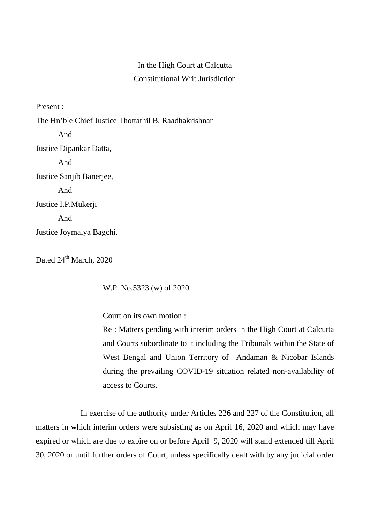## In the High Court at Calcutta Constitutional Writ Jurisdiction

Present :

The Hn'ble Chief Justice Thottathil B. Raadhakrishnan And Justice Dipankar Datta, And Justice Sanjib Banerjee, And Justice I.P.Mukerji And Justice Joymalya Bagchi.

Dated  $24^{th}$  March, 2020

W.P. No.5323 (w) of 2020

Court on its own motion :

Re : Matters pending with interim orders in the High Court at Calcutta and Courts subordinate to it including the Tribunals within the State of West Bengal and Union Territory of Andaman & Nicobar Islands during the prevailing COVID-19 situation related non-availability of access to Courts.

In exercise of the authority under Articles 226 and 227 of the Constitution, all matters in which interim orders were subsisting as on April 16, 2020 and which may have expired or which are due to expire on or before April 9, 2020 will stand extended till April 30, 2020 or until further orders of Court, unless specifically dealt with by any judicial order